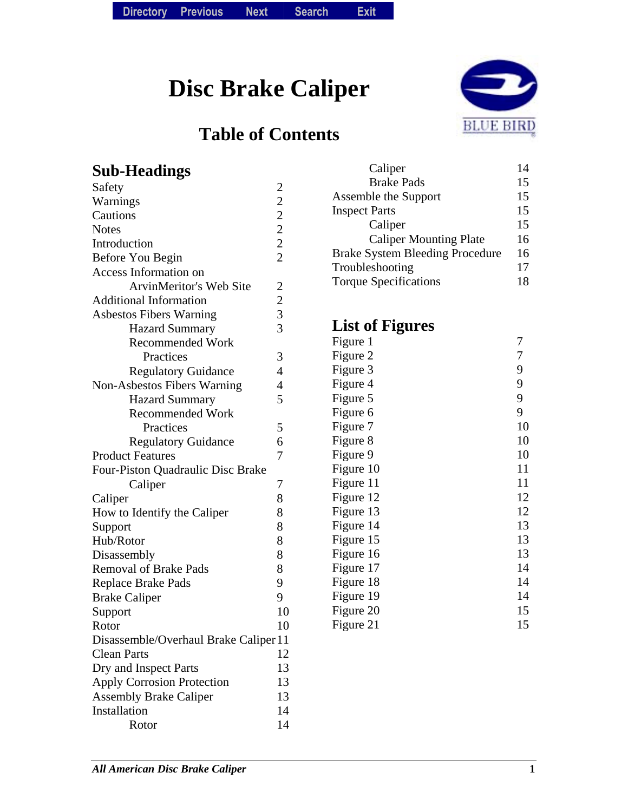**Disc Brake Caliper** 

## **Table of Contents**



| <b>Sub-Headings</b>                   |                | Caliper                                | 14 |
|---------------------------------------|----------------|----------------------------------------|----|
| Safety                                | $\overline{c}$ | <b>Brake Pads</b>                      | 15 |
| Warnings                              | $\overline{c}$ | Assemble the Support                   | 15 |
| Cautions                              | $\overline{2}$ | <b>Inspect Parts</b>                   | 15 |
| <b>Notes</b>                          | $\overline{c}$ | Caliper                                | 15 |
| Introduction                          | $\overline{c}$ | <b>Caliper Mounting Plate</b>          | 16 |
| Before You Begin                      | $\overline{2}$ | <b>Brake System Bleeding Procedure</b> | 16 |
| <b>Access Information on</b>          |                | Troubleshooting                        | 17 |
| <b>ArvinMeritor's Web Site</b>        | $\overline{c}$ | <b>Torque Specifications</b>           | 18 |
| <b>Additional Information</b>         | $\overline{c}$ |                                        |    |
| <b>Asbestos Fibers Warning</b>        | 3              |                                        |    |
| <b>Hazard Summary</b>                 | 3              | <b>List of Figures</b>                 |    |
| <b>Recommended Work</b>               |                | Figure 1                               | 7  |
| Practices                             | 3              | Figure 2                               | 7  |
| <b>Regulatory Guidance</b>            | $\overline{4}$ | Figure 3                               | 9  |
| Non-Asbestos Fibers Warning           | 4              | Figure 4                               | 9  |
| <b>Hazard Summary</b>                 | 5              | Figure 5                               | 9  |
| <b>Recommended Work</b>               |                | Figure 6                               | 9  |
| Practices                             | 5              | Figure 7                               | 10 |
| <b>Regulatory Guidance</b>            | 6              | Figure 8                               | 10 |
| <b>Product Features</b>               | 7              | Figure 9                               | 10 |
| Four-Piston Quadraulic Disc Brake     |                | Figure 10                              | 11 |
| Caliper                               | 7              | Figure 11                              | 11 |
| Caliper                               | 8              | Figure 12                              | 12 |
| How to Identify the Caliper           | 8              | Figure 13                              | 12 |
| Support                               | 8              | Figure 14                              | 13 |
| Hub/Rotor                             | 8              | Figure 15                              | 13 |
| Disassembly                           | 8              | Figure 16                              | 13 |
| <b>Removal of Brake Pads</b>          | 8              | Figure 17                              | 14 |
| <b>Replace Brake Pads</b>             | 9              | Figure 18                              | 14 |
| <b>Brake Caliper</b>                  | 9              | Figure 19                              | 14 |
| Support                               | 10             | Figure 20                              | 15 |
| Rotor                                 | 10             | Figure 21                              | 15 |
| Disassemble/Overhaul Brake Caliper 11 |                |                                        |    |
| <b>Clean Parts</b>                    | 12             |                                        |    |
| Dry and Inspect Parts                 | 13             |                                        |    |
| <b>Apply Corrosion Protection</b>     | 13             |                                        |    |
| <b>Assembly Brake Caliper</b>         | 13             |                                        |    |
| Installation                          | 14             |                                        |    |
| Rotor                                 | 14             |                                        |    |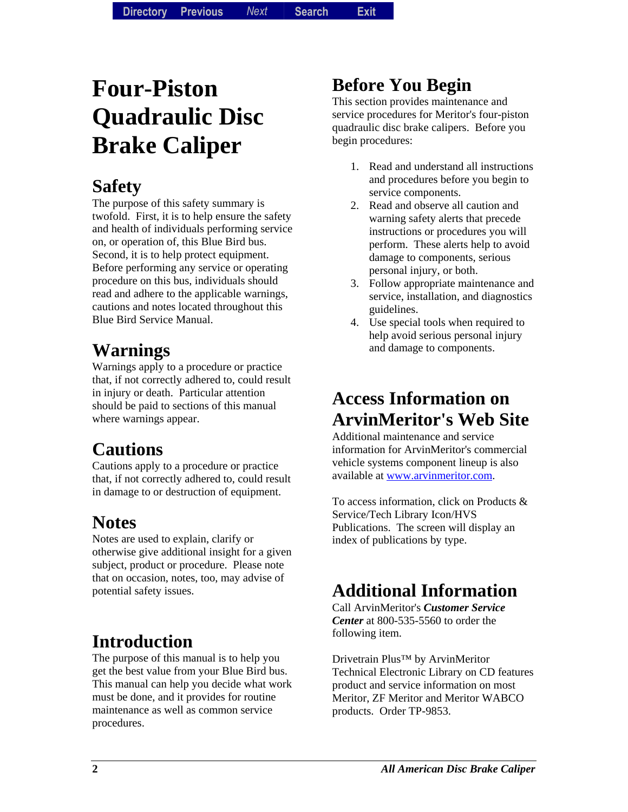# **Four-Piston Quadraulic Disc Brake Caliper**

## **Safety**

The purpose of this safety summary is twofold. First, it is to help ensure the safety and health of individuals performing service on, or operation of, this Blue Bird bus. Second, it is to help protect equipment. Before performing any service or operating procedure on this bus, individuals should read and adhere to the applicable warnings, cautions and notes located throughout this Blue Bird Service Manual.

## **Warnings**

Warnings apply to a procedure or practice that, if not correctly adhered to, could result in injury or death. Particular attention should be paid to sections of this manual where warnings appear.

## **Cautions**

Cautions apply to a procedure or practice that, if not correctly adhered to, could result in damage to or destruction of equipment.

## **Notes**

Notes are used to explain, clarify or otherwise give additional insight for a given subject, product or procedure. Please note that on occasion, notes, too, may advise of potential safety issues.

## **Introduction**

The purpose of this manual is to help you get the best value from your Blue Bird bus. This manual can help you decide what work must be done, and it provides for routine maintenance as well as common service procedures.

## **Before You Begin**

This section provides maintenance and service procedures for Meritor's four-piston quadraulic disc brake calipers. Before you begin procedures:

- 1. Read and understand all instructions and procedures before you begin to service components.
- 2. Read and observe all caution and warning safety alerts that precede instructions or procedures you will perform. These alerts help to avoid damage to components, serious personal injury, or both.
- 3. Follow appropriate maintenance and service, installation, and diagnostics guidelines.
- 4. Use special tools when required to help avoid serious personal injury and damage to components.

## **Access Information on ArvinMeritor's Web Site**

Additional maintenance and service information for ArvinMeritor's commercial vehicle systems component lineup is also available at [www.arvinmeritor.com](http://www.arvinmeritor.com/).

To access information, click on Products & Service/Tech Library Icon/HVS Publications. The screen will display an index of publications by type.

## **Additional Information**

Call ArvinMeritor's *Customer Service Center* at 800-535-5560 to order the following item.

Drivetrain Plus™ by ArvinMeritor Technical Electronic Library on CD features product and service information on most Meritor, ZF Meritor and Meritor WABCO products. Order TP-9853.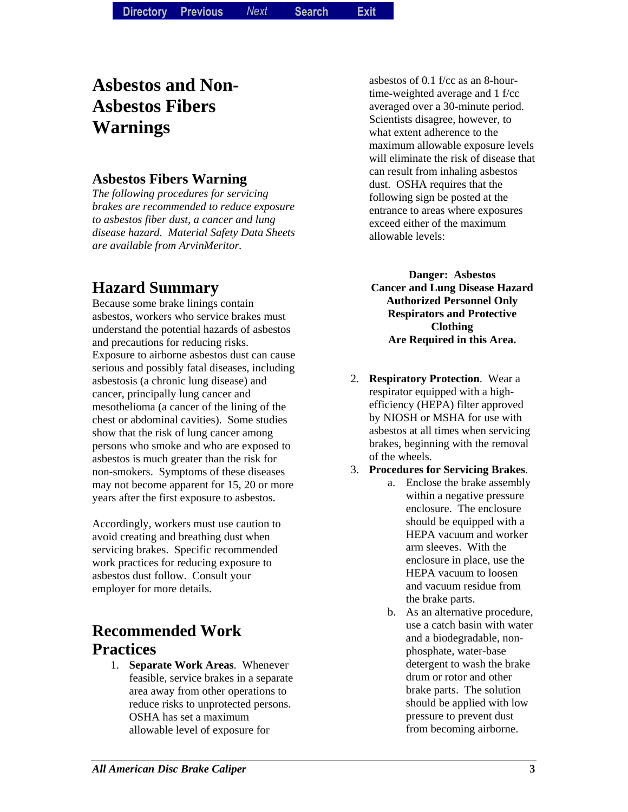## **Asbestos and Non-Asbestos Fibers Warnings**

#### **Asbestos Fibers Warning**

*The following procedures for servicing brakes are recommended to reduce exposure to asbestos fiber dust, a cancer and lung disease hazard. Material Safety Data Sheets are available from ArvinMeritor.* 

### **Hazard Summary**

Because some brake linings contain asbestos, workers who service brakes must understand the potential hazards of asbestos and precautions for reducing risks. Exposure to airborne asbestos dust can cause serious and possibly fatal diseases, including asbestosis (a chronic lung disease) and cancer, principally lung cancer and mesothelioma (a cancer of the lining of the chest or abdominal cavities). Some studies show that the risk of lung cancer among persons who smoke and who are exposed to asbestos is much greater than the risk for non-smokers. Symptoms of these diseases may not become apparent for 15, 20 or more years after the first exposure to asbestos.

Accordingly, workers must use caution to avoid creating and breathing dust when servicing brakes. Specific recommended work practices for reducing exposure to asbestos dust follow. Consult your employer for more details.

### **Recommended Work Practices**

1. **Separate Work Areas**. Whenever feasible, service brakes in a separate area away from other operations to reduce risks to unprotected persons. OSHA has set a maximum allowable level of exposure for

asbestos of 0.1 f/cc as an 8-hourtime-weighted average and 1 f/cc averaged over a 30-minute period. Scientists disagree, however, to what extent adherence to the maximum allowable exposure levels will eliminate the risk of disease that can result from inhaling asbestos dust. OSHA requires that the following sign be posted at the entrance to areas where exposures exceed either of the maximum allowable levels:

**Danger: Asbestos Cancer and Lung Disease Hazard Authorized Personnel Only Respirators and Protective Clothing Are Required in this Area.** 

- 2. **Respiratory Protection**. Wear a respirator equipped with a highefficiency (HEPA) filter approved by NIOSH or MSHA for use with asbestos at all times when servicing brakes, beginning with the removal of the wheels.
- 3. **Procedures for Servicing Brakes**.
	- a. Enclose the brake assembly within a negative pressure enclosure. The enclosure should be equipped with a HEPA vacuum and worker arm sleeves. With the enclosure in place, use the HEPA vacuum to loosen and vacuum residue from the brake parts.
		- b. As an alternative procedure, use a catch basin with water and a biodegradable, nonphosphate, water-base detergent to wash the brake drum or rotor and other brake parts. The solution should be applied with low pressure to prevent dust from becoming airborne.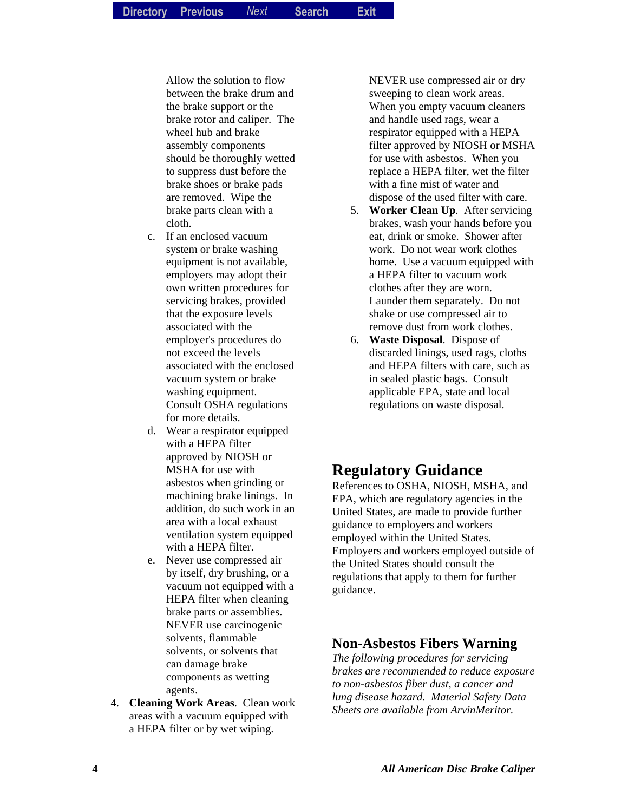Allow the solution to flow between the brake drum and the brake support or the brake rotor and caliper. The wheel hub and brake assembly components should be thoroughly wetted to suppress dust before the brake shoes or brake pads are removed. Wipe the brake parts clean with a cloth.

- c. If an enclosed vacuum system or brake washing equipment is not available, employers may adopt their own written procedures for servicing brakes, provided that the exposure levels associated with the employer's procedures do not exceed the levels associated with the enclosed vacuum system or brake washing equipment. Consult OSHA regulations for more details.
- d. Wear a respirator equipped with a HEPA filter approved by NIOSH or MSHA for use with asbestos when grinding or machining brake linings. In addition, do such work in an area with a local exhaust ventilation system equipped with a HEPA filter.
- e. Never use compressed air by itself, dry brushing, or a vacuum not equipped with a HEPA filter when cleaning brake parts or assemblies. NEVER use carcinogenic solvents, flammable solvents, or solvents that can damage brake components as wetting agents.
- 4. **Cleaning Work Areas**. Clean work areas with a vacuum equipped with a HEPA filter or by wet wiping.

NEVER use compressed air or dry sweeping to clean work areas. When you empty vacuum cleaners and handle used rags, wear a respirator equipped with a HEPA filter approved by NIOSH or MSHA for use with asbestos. When you replace a HEPA filter, wet the filter with a fine mist of water and dispose of the used filter with care.

- 5. **Worker Clean Up**. After servicing brakes, wash your hands before you eat, drink or smoke. Shower after work. Do not wear work clothes home. Use a vacuum equipped with a HEPA filter to vacuum work clothes after they are worn. Launder them separately. Do not shake or use compressed air to remove dust from work clothes.
- 6. **Waste Disposal**. Dispose of discarded linings, used rags, cloths and HEPA filters with care, such as in sealed plastic bags. Consult applicable EPA, state and local regulations on waste disposal.

### **Regulatory Guidance**

References to OSHA, NIOSH, MSHA, and EPA, which are regulatory agencies in the United States, are made to provide further guidance to employers and workers employed within the United States. Employers and workers employed outside of the United States should consult the regulations that apply to them for further guidance.

#### **Non-Asbestos Fibers Warning**

*The following procedures for servicing brakes are recommended to reduce exposure to non-asbestos fiber dust, a cancer and lung disease hazard. Material Safety Data Sheets are available from ArvinMeritor.*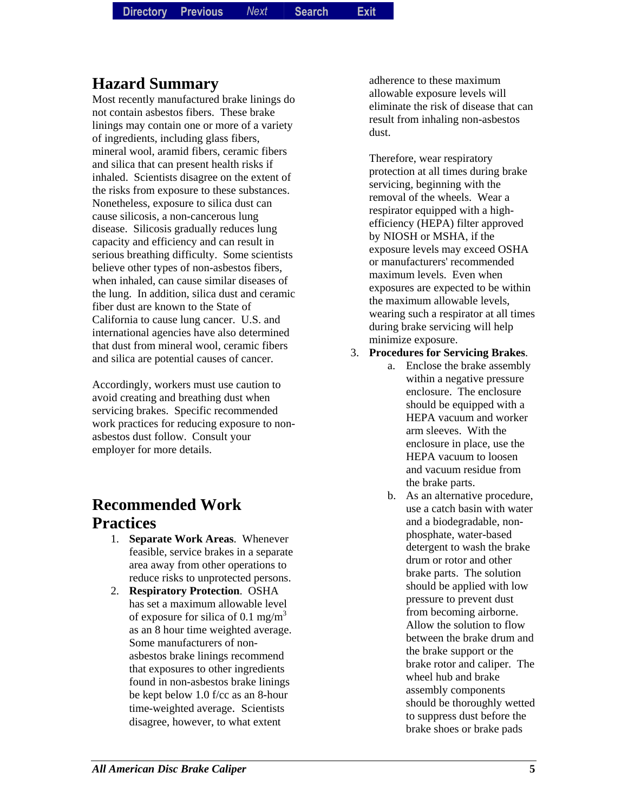**Directory Directory Previous** *Previous Next* **Search** *Search***Exit** *Exit*

### **Hazard Summary**

Most recently manufactured brake linings do not contain asbestos fibers. These brake linings may contain one or more of a variety of ingredients, including glass fibers, mineral wool, aramid fibers, ceramic fibers and silica that can present health risks if inhaled. Scientists disagree on the extent of the risks from exposure to these substances. Nonetheless, exposure to silica dust can cause silicosis, a non-cancerous lung disease. Silicosis gradually reduces lung capacity and efficiency and can result in serious breathing difficulty. Some scientists believe other types of non-asbestos fibers, when inhaled, can cause similar diseases of the lung. In addition, silica dust and ceramic fiber dust are known to the State of California to cause lung cancer. U.S. and international agencies have also determined that dust from mineral wool, ceramic fibers and silica are potential causes of cancer.

Accordingly, workers must use caution to avoid creating and breathing dust when servicing brakes. Specific recommended work practices for reducing exposure to nonasbestos dust follow. Consult your employer for more details.

### **Recommended Work Practices**

- 1. **Separate Work Areas**. Whenever feasible, service brakes in a separate area away from other operations to reduce risks to unprotected persons.
- 2. **Respiratory Protection**. OSHA has set a maximum allowable level of exposure for silica of 0.1 mg/m<sup>3</sup> as an 8 hour time weighted average. Some manufacturers of nonasbestos brake linings recommend that exposures to other ingredients found in non-asbestos brake linings be kept below 1.0 f/cc as an 8-hour time-weighted average. Scientists disagree, however, to what extent

adherence to these maximum allowable exposure levels will eliminate the risk of disease that can result from inhaling non-asbestos dust.

Therefore, wear respiratory protection at all times during brake servicing, beginning with the removal of the wheels. Wear a respirator equipped with a highefficiency (HEPA) filter approved by NIOSH or MSHA, if the exposure levels may exceed OSHA or manufacturers' recommended maximum levels. Even when exposures are expected to be within the maximum allowable levels, wearing such a respirator at all times during brake servicing will help minimize exposure.

- 3. **Procedures for Servicing Brakes**.
	- a. Enclose the brake assembly within a negative pressure enclosure. The enclosure should be equipped with a HEPA vacuum and worker arm sleeves. With the enclosure in place, use the HEPA vacuum to loosen and vacuum residue from the brake parts.
		- b. As an alternative procedure, use a catch basin with water and a biodegradable, nonphosphate, water-based detergent to wash the brake drum or rotor and other brake parts. The solution should be applied with low pressure to prevent dust from becoming airborne. Allow the solution to flow between the brake drum and the brake support or the brake rotor and caliper. The wheel hub and brake assembly components should be thoroughly wetted to suppress dust before the brake shoes or brake pads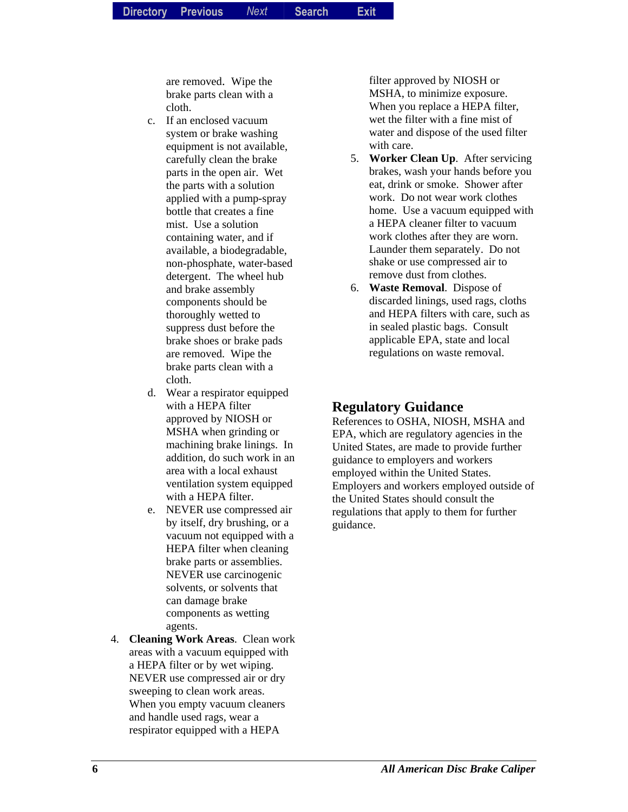are removed. Wipe the brake parts clean with a cloth.

- c. If an enclosed vacuum system or brake washing equipment is not available, carefully clean the brake parts in the open air. Wet the parts with a solution applied with a pump-spray bottle that creates a fine mist. Use a solution containing water, and if available, a biodegradable, non-phosphate, water-based detergent. The wheel hub and brake assembly components should be thoroughly wetted to suppress dust before the brake shoes or brake pads are removed. Wipe the brake parts clean with a cloth.
- d. Wear a respirator equipped with a HEPA filter approved by NIOSH or MSHA when grinding or machining brake linings. In addition, do such work in an area with a local exhaust ventilation system equipped with a HEPA filter.
- e. NEVER use compressed air by itself, dry brushing, or a vacuum not equipped with a HEPA filter when cleaning brake parts or assemblies. NEVER use carcinogenic solvents, or solvents that can damage brake components as wetting agents.
- 4. **Cleaning Work Areas**. Clean work areas with a vacuum equipped with a HEPA filter or by wet wiping. NEVER use compressed air or dry sweeping to clean work areas. When you empty vacuum cleaners and handle used rags, wear a respirator equipped with a HEPA

filter approved by NIOSH or MSHA, to minimize exposure. When you replace a HEPA filter, wet the filter with a fine mist of water and dispose of the used filter with care.

- 5. **Worker Clean Up**. After servicing brakes, wash your hands before you eat, drink or smoke. Shower after work. Do not wear work clothes home. Use a vacuum equipped with a HEPA cleaner filter to vacuum work clothes after they are worn. Launder them separately. Do not shake or use compressed air to remove dust from clothes.
- 6. **Waste Removal**. Dispose of discarded linings, used rags, cloths and HEPA filters with care, such as in sealed plastic bags. Consult applicable EPA, state and local regulations on waste removal.

#### **Regulatory Guidance**

References to OSHA, NIOSH, MSHA and EPA, which are regulatory agencies in the United States, are made to provide further guidance to employers and workers employed within the United States. Employers and workers employed outside of the United States should consult the regulations that apply to them for further guidance.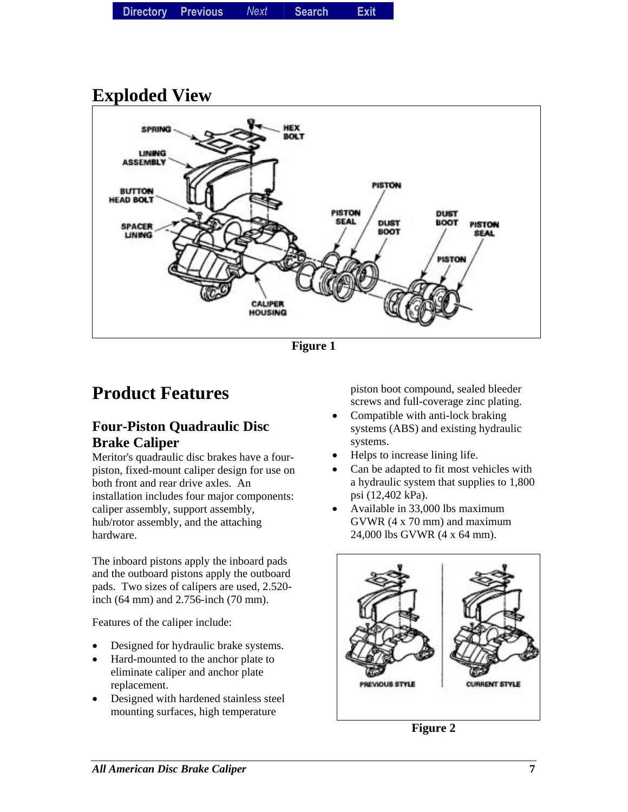|  | Directory Previous | Next | <b>Search</b> | <b>Exit</b> |
|--|--------------------|------|---------------|-------------|
|--|--------------------|------|---------------|-------------|

## **Exploded View**



**Figure 1** 

## **Product Features**

#### **Four-Piston Quadraulic Disc Brake Caliper**

Meritor's quadraulic disc brakes have a fourpiston, fixed-mount caliper design for use on both front and rear drive axles. An installation includes four major components: caliper assembly, support assembly, hub/rotor assembly, and the attaching hardware.

The inboard pistons apply the inboard pads and the outboard pistons apply the outboard pads. Two sizes of calipers are used, 2.520 inch (64 mm) and 2.756-inch (70 mm).

Features of the caliper include:

- Designed for hydraulic brake systems.
- Hard-mounted to the anchor plate to eliminate caliper and anchor plate replacement.
- Designed with hardened stainless steel mounting surfaces, high temperature

piston boot compound, sealed bleeder screws and full-coverage zinc plating.

- Compatible with anti-lock braking systems (ABS) and existing hydraulic systems.
- Helps to increase lining life.
- Can be adapted to fit most vehicles with a hydraulic system that supplies to 1,800 psi (12,402 kPa).
- Available in 33,000 lbs maximum GVWR (4 x 70 mm) and maximum 24,000 lbs GVWR (4 x 64 mm).



**Figure 2**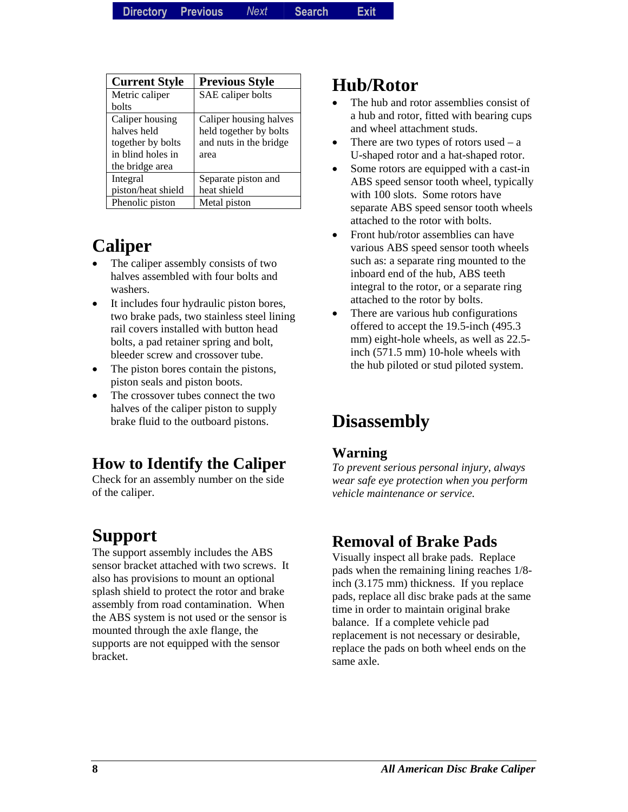| <b>Current Style</b> | <b>Previous Style</b>  |
|----------------------|------------------------|
| Metric caliper       | SAE caliper bolts      |
| bolts                |                        |
| Caliper housing      | Caliper housing halves |
| halves held          | held together by bolts |
| together by bolts    | and nuts in the bridge |
| in blind holes in    | area                   |
| the bridge area      |                        |
| Integral             | Separate piston and    |
| piston/heat shield   | heat shield            |
| Phenolic piston      | Metal piston           |

## **Caliper**

- The caliper assembly consists of two halves assembled with four bolts and washers.
- It includes four hydraulic piston bores, two brake pads, two stainless steel lining rail covers installed with button head bolts, a pad retainer spring and bolt, bleeder screw and crossover tube.
- The piston bores contain the pistons, piston seals and piston boots.
- The crossover tubes connect the two halves of the caliper piston to supply brake fluid to the outboard pistons.

## **How to Identify the Caliper**

Check for an assembly number on the side of the caliper.

## **Support**

The support assembly includes the ABS sensor bracket attached with two screws. It also has provisions to mount an optional splash shield to protect the rotor and brake assembly from road contamination. When the ABS system is not used or the sensor is mounted through the axle flange, the supports are not equipped with the sensor bracket.

### **Hub/Rotor**

- The hub and rotor assemblies consist of a hub and rotor, fitted with bearing cups and wheel attachment studs.
- There are two types of rotors used  $-$  a U-shaped rotor and a hat-shaped rotor.
- Some rotors are equipped with a cast-in ABS speed sensor tooth wheel, typically with 100 slots. Some rotors have separate ABS speed sensor tooth wheels attached to the rotor with bolts.
- Front hub/rotor assemblies can have various ABS speed sensor tooth wheels such as: a separate ring mounted to the inboard end of the hub, ABS teeth integral to the rotor, or a separate ring attached to the rotor by bolts.
- There are various hub configurations offered to accept the 19.5-inch (495.3 mm) eight-hole wheels, as well as 22.5 inch (571.5 mm) 10-hole wheels with the hub piloted or stud piloted system.

## **Disassembly**

#### **Warning**

*To prevent serious personal injury, always wear safe eye protection when you perform vehicle maintenance or service.* 

### **Removal of Brake Pads**

Visually inspect all brake pads. Replace pads when the remaining lining reaches 1/8 inch (3.175 mm) thickness. If you replace pads, replace all disc brake pads at the same time in order to maintain original brake balance. If a complete vehicle pad replacement is not necessary or desirable, replace the pads on both wheel ends on the same axle.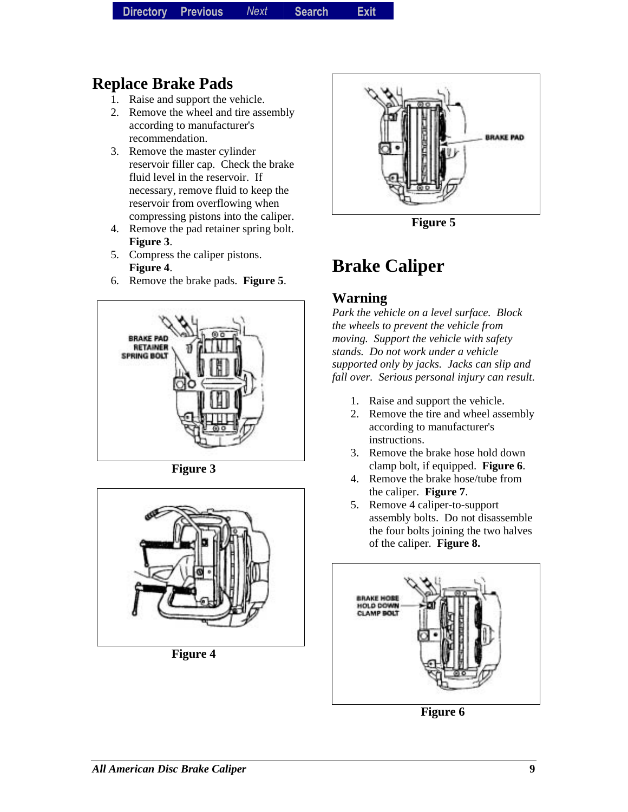### **Replace Brake Pads**

- 1. Raise and support the vehicle.
- 2. Remove the wheel and tire assembly according to manufacturer's recommendation.
- 3. Remove the master cylinder reservoir filler cap. Check the brake fluid level in the reservoir. If necessary, remove fluid to keep the reservoir from overflowing when compressing pistons into the caliper.
- 4. Remove the pad retainer spring bolt. **Figure 3**.
- 5. Compress the caliper pistons. **Figure 4**.
- 6. Remove the brake pads. **Figure 5**.



**Figure 3** 



**Figure 4** 



**Figure 5** 

## **Brake Caliper**

#### **Warning**

*Park the vehicle on a level surface. Block the wheels to prevent the vehicle from moving. Support the vehicle with safety stands. Do not work under a vehicle supported only by jacks. Jacks can slip and fall over. Serious personal injury can result.* 

- 1. Raise and support the vehicle.
- 2. Remove the tire and wheel assembly according to manufacturer's instructions.
- 3. Remove the brake hose hold down clamp bolt, if equipped. **Figure 6**.
- 4. Remove the brake hose/tube from the caliper. **Figure 7**.
- 5. Remove 4 caliper-to-support assembly bolts. Do not disassemble the four bolts joining the two halves of the caliper. **Figure 8.**



**Figure 6**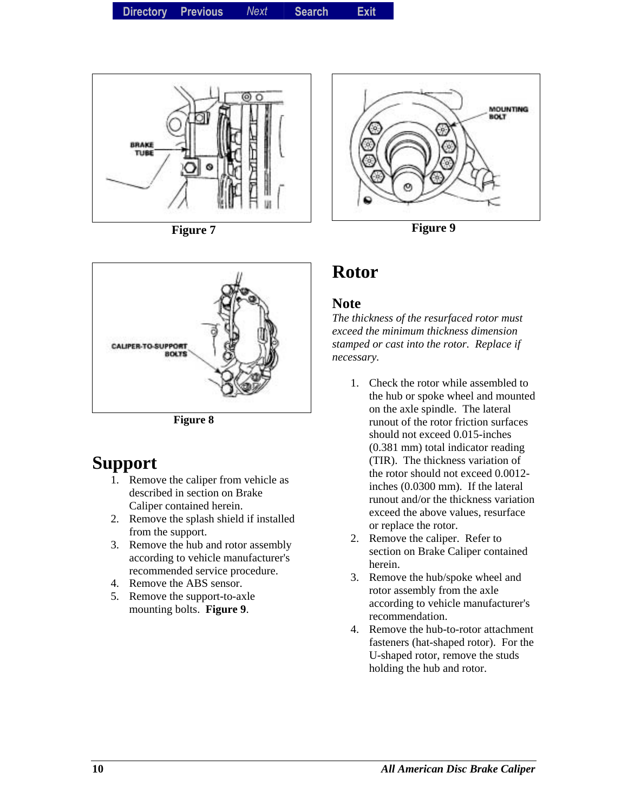

**Figure 7** 



**Figure 8** 

### **Support**

- 1. Remove the caliper from vehicle as described in section on Brake Caliper contained herein.
- 2. Remove the splash shield if installed from the support.
- 3. Remove the hub and rotor assembly according to vehicle manufacturer's recommended service procedure.
- 4. Remove the ABS sensor.
- 5. Remove the support-to-axle mounting bolts. **Figure 9**.



**Figure 9** 

### **Rotor**

#### **Note**

*The thickness of the resurfaced rotor must exceed the minimum thickness dimension stamped or cast into the rotor. Replace if necessary.* 

- 1. Check the rotor while assembled to the hub or spoke wheel and mounted on the axle spindle. The lateral runout of the rotor friction surfaces should not exceed 0.015-inches (0.381 mm) total indicator reading (TIR). The thickness variation of the rotor should not exceed 0.0012 inches (0.0300 mm). If the lateral runout and/or the thickness variation exceed the above values, resurface or replace the rotor.
- 2. Remove the caliper. Refer to section on Brake Caliper contained herein.
- 3. Remove the hub/spoke wheel and rotor assembly from the axle according to vehicle manufacturer's recommendation.
- 4. Remove the hub-to-rotor attachment fasteners (hat-shaped rotor). For the U-shaped rotor, remove the studs holding the hub and rotor.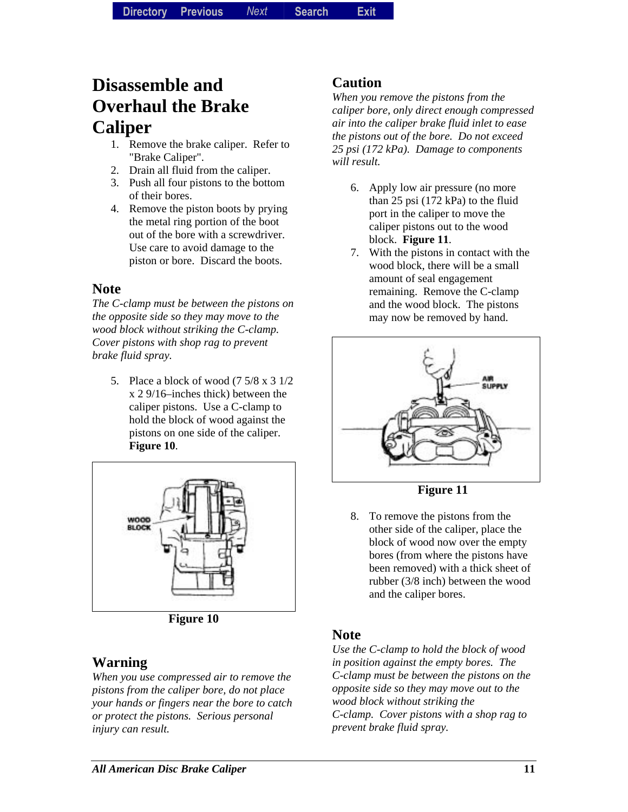## **Disassemble and Overhaul the Brake Caliper**

- 1. Remove the brake caliper. Refer to "Brake Caliper".
- 2. Drain all fluid from the caliper.
- 3. Push all four pistons to the bottom of their bores.
- 4. Remove the piston boots by prying the metal ring portion of the boot out of the bore with a screwdriver. Use care to avoid damage to the piston or bore. Discard the boots.

#### **Note**

*The C-clamp must be between the pistons on the opposite side so they may move to the wood block without striking the C-clamp. Cover pistons with shop rag to prevent brake fluid spray.* 

5. Place a block of wood (7 5/8 x 3 1/2 x 2 9/16–inches thick) between the caliper pistons. Use a C-clamp to hold the block of wood against the pistons on one side of the caliper. **Figure 10**.



**Figure 10** 

#### **Warning**

*When you use compressed air to remove the pistons from the caliper bore, do not place your hands or fingers near the bore to catch or protect the pistons. Serious personal injury can result.* 

#### **Caution**

*When you remove the pistons from the caliper bore, only direct enough compressed air into the caliper brake fluid inlet to ease the pistons out of the bore. Do not exceed 25 psi (172 kPa). Damage to components will result.* 

- 6. Apply low air pressure (no more than 25 psi (172 kPa) to the fluid port in the caliper to move the caliper pistons out to the wood block. **Figure 11**.
- 7. With the pistons in contact with the wood block, there will be a small amount of seal engagement remaining. Remove the C-clamp and the wood block. The pistons may now be removed by hand.



**Figure 11** 

8. To remove the pistons from the other side of the caliper, place the block of wood now over the empty bores (from where the pistons have been removed) with a thick sheet of rubber (3/8 inch) between the wood and the caliper bores.

#### **Note**

*Use the C-clamp to hold the block of wood in position against the empty bores. The C-clamp must be between the pistons on the opposite side so they may move out to the wood block without striking the C-clamp. Cover pistons with a shop rag to prevent brake fluid spray.*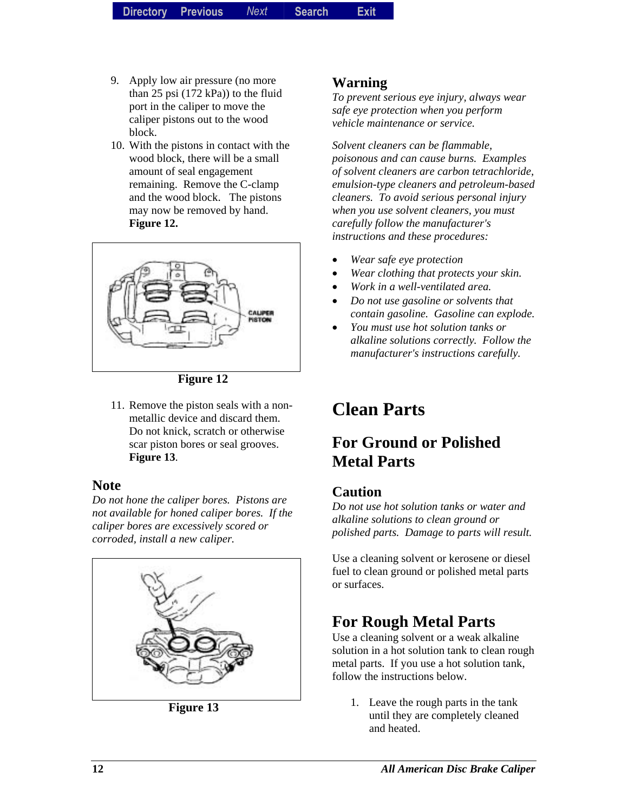- 9. Apply low air pressure (no more than 25 psi (172 kPa)) to the fluid port in the caliper to move the caliper pistons out to the wood block.
- 10. With the pistons in contact with the wood block, there will be a small amount of seal engagement remaining. Remove the C-clamp and the wood block. The pistons may now be removed by hand. **Figure 12.**



**Figure 12** 

11. Remove the piston seals with a nonmetallic device and discard them. Do not knick, scratch or otherwise scar piston bores or seal grooves. **Figure 13**.

#### **Note**

*Do not hone the caliper bores. Pistons are not available for honed caliper bores. If the caliper bores are excessively scored or corroded, install a new caliper.* 



**Figure 13** 

#### **Warning**

*To prevent serious eye injury, always wear safe eye protection when you perform vehicle maintenance or service.* 

*Solvent cleaners can be flammable, poisonous and can cause burns. Examples of solvent cleaners are carbon tetrachloride, emulsion-type cleaners and petroleum-based cleaners. To avoid serious personal injury when you use solvent cleaners, you must carefully follow the manufacturer's instructions and these procedures:* 

- *Wear safe eye protection*
- *Wear clothing that protects your skin.*
- *Work in a well-ventilated area.*
- *Do not use gasoline or solvents that contain gasoline. Gasoline can explode.*
- *You must use hot solution tanks or alkaline solutions correctly. Follow the manufacturer's instructions carefully.*

## **Clean Parts**

### **For Ground or Polished Metal Parts**

#### **Caution**

*Do not use hot solution tanks or water and alkaline solutions to clean ground or polished parts. Damage to parts will result.* 

Use a cleaning solvent or kerosene or diesel fuel to clean ground or polished metal parts or surfaces.

### **For Rough Metal Parts**

Use a cleaning solvent or a weak alkaline solution in a hot solution tank to clean rough metal parts. If you use a hot solution tank, follow the instructions below.

1. Leave the rough parts in the tank until they are completely cleaned and heated.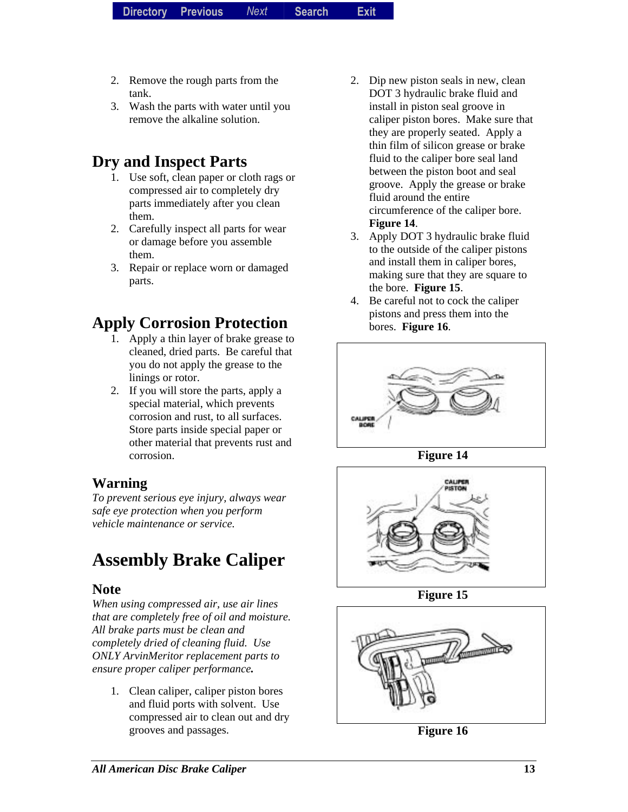- 2. Remove the rough parts from the tank.
- 3. Wash the parts with water until you remove the alkaline solution.

### **Dry and Inspect Parts**

- 1. Use soft, clean paper or cloth rags or compressed air to completely dry parts immediately after you clean them.
- 2. Carefully inspect all parts for wear or damage before you assemble them.
- 3. Repair or replace worn or damaged parts.

### **Apply Corrosion Protection**

- 1. Apply a thin layer of brake grease to cleaned, dried parts. Be careful that you do not apply the grease to the linings or rotor.
- 2. If you will store the parts, apply a special material, which prevents corrosion and rust, to all surfaces. Store parts inside special paper or other material that prevents rust and corrosion.

#### **Warning**

*To prevent serious eye injury, always wear safe eye protection when you perform vehicle maintenance or service.* 

## **Assembly Brake Caliper**

#### **Note**

*When using compressed air, use air lines that are completely free of oil and moisture. All brake parts must be clean and completely dried of cleaning fluid. Use ONLY ArvinMeritor replacement parts to ensure proper caliper performance.* 

1. Clean caliper, caliper piston bores and fluid ports with solvent. Use compressed air to clean out and dry grooves and passages.

- 2. Dip new piston seals in new, clean DOT 3 hydraulic brake fluid and install in piston seal groove in caliper piston bores. Make sure that they are properly seated. Apply a thin film of silicon grease or brake fluid to the caliper bore seal land between the piston boot and seal groove. Apply the grease or brake fluid around the entire circumference of the caliper bore. **Figure 14**.
- 3. Apply DOT 3 hydraulic brake fluid to the outside of the caliper pistons and install them in caliper bores, making sure that they are square to the bore. **Figure 15**.
- 4. Be careful not to cock the caliper pistons and press them into the bores. **Figure 16**.



**Figure 14** 



**Figure 15** 



**Figure 16**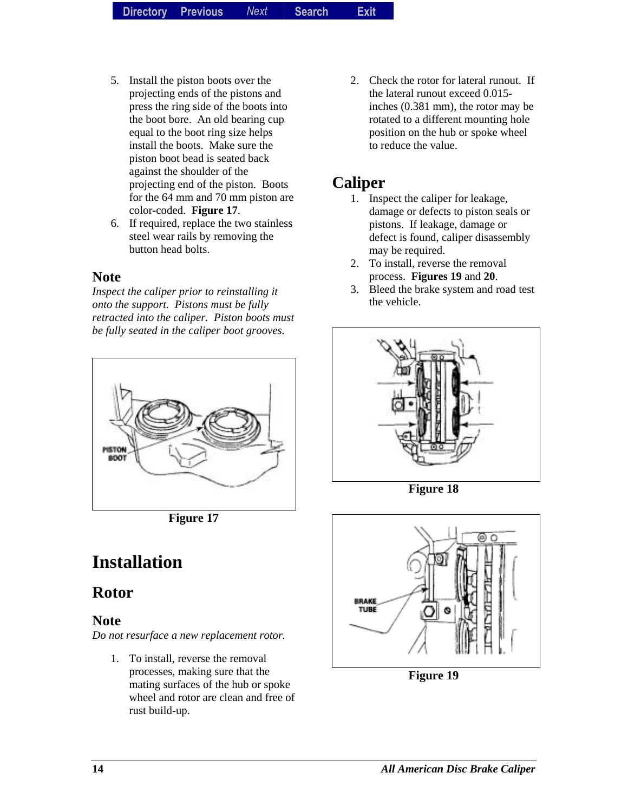- 5. Install the piston boots over the projecting ends of the pistons and press the ring side of the boots into the boot bore. An old bearing cup equal to the boot ring size helps install the boots. Make sure the piston boot bead is seated back against the shoulder of the projecting end of the piston. Boots for the 64 mm and 70 mm piston are color-coded. **Figure 17**.
- 6. If required, replace the two stainless steel wear rails by removing the button head bolts.

#### **Note**

*Inspect the caliper prior to reinstalling it onto the support. Pistons must be fully retracted into the caliper. Piston boots must be fully seated in the caliper boot grooves.* 



**Figure 17** 

## **Installation**

### **Rotor**

#### **Note**

*Do not resurface a new replacement rotor.* 

1. To install, reverse the removal processes, making sure that the mating surfaces of the hub or spoke wheel and rotor are clean and free of rust build-up.

2. Check the rotor for lateral runout. If the lateral runout exceed 0.015 inches (0.381 mm), the rotor may be rotated to a different mounting hole position on the hub or spoke wheel to reduce the value.

### **Caliper**

- 1. Inspect the caliper for leakage, damage or defects to piston seals or pistons. If leakage, damage or defect is found, caliper disassembly may be required.
- 2. To install, reverse the removal process. **Figures 19** and **20**.
- 3. Bleed the brake system and road test the vehicle.



**Figure 18** 



**Figure 19**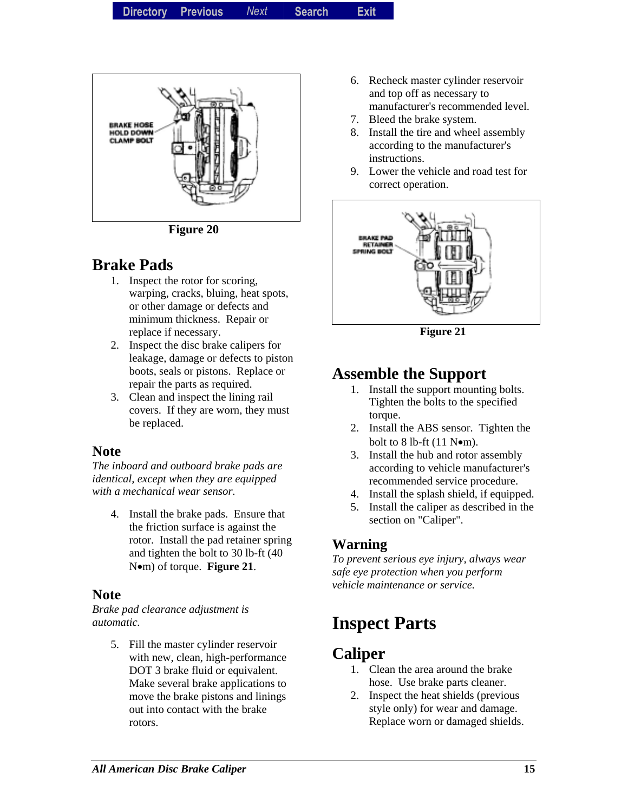

**Figure 20** 

### **Brake Pads**

- 1. Inspect the rotor for scoring, warping, cracks, bluing, heat spots, or other damage or defects and minimum thickness. Repair or replace if necessary.
- 2. Inspect the disc brake calipers for leakage, damage or defects to piston boots, seals or pistons. Replace or repair the parts as required.
- 3. Clean and inspect the lining rail covers. If they are worn, they must be replaced.

#### **Note**

*The inboard and outboard brake pads are identical, except when they are equipped with a mechanical wear sensor.* 

4. Install the brake pads. Ensure that the friction surface is against the rotor. Install the pad retainer spring and tighten the bolt to 30 lb-ft (40 N•m) of torque. **Figure 21**.

#### **Note**

*Brake pad clearance adjustment is automatic.* 

> 5. Fill the master cylinder reservoir with new, clean, high-performance DOT 3 brake fluid or equivalent. Make several brake applications to move the brake pistons and linings out into contact with the brake rotors.

- 6. Recheck master cylinder reservoir and top off as necessary to manufacturer's recommended level.
- 7. Bleed the brake system.
- 8. Install the tire and wheel assembly according to the manufacturer's instructions.
- 9. Lower the vehicle and road test for correct operation.



**Figure 21** 

### **Assemble the Support**

- 1. Install the support mounting bolts. Tighten the bolts to the specified torque.
- 2. Install the ABS sensor. Tighten the bolt to 8 lb-ft  $(11$  N $\bullet$ m).
- 3. Install the hub and rotor assembly according to vehicle manufacturer's recommended service procedure.
- 4. Install the splash shield, if equipped.
- 5. Install the caliper as described in the section on "Caliper".

#### **Warning**

*To prevent serious eye injury, always wear safe eye protection when you perform vehicle maintenance or service.* 

## **Inspect Parts**

### **Caliper**

- 1. Clean the area around the brake hose. Use brake parts cleaner.
- 2. Inspect the heat shields (previous style only) for wear and damage. Replace worn or damaged shields.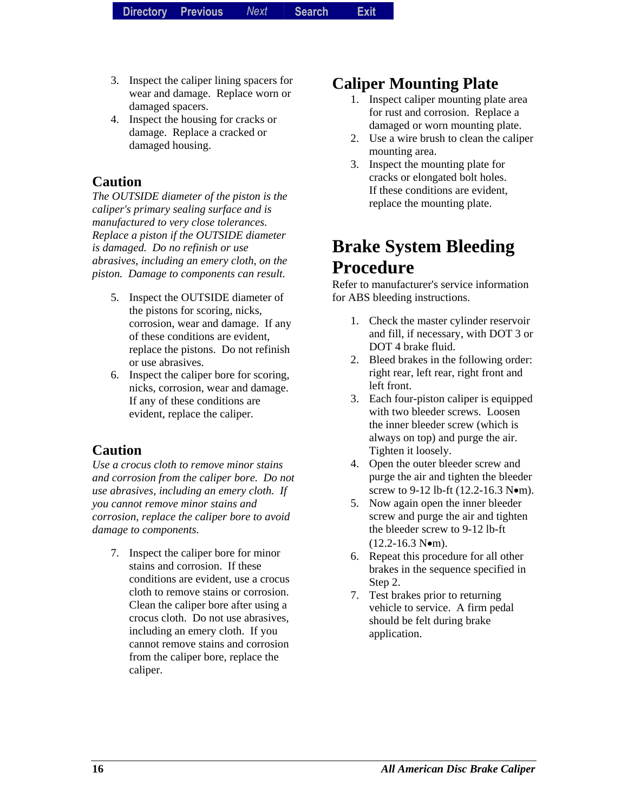- 3. Inspect the caliper lining spacers for wear and damage. Replace worn or damaged spacers.
- 4. Inspect the housing for cracks or damage. Replace a cracked or damaged housing.

#### **Caution**

*The OUTSIDE diameter of the piston is the caliper's primary sealing surface and is manufactured to very close tolerances. Replace a piston if the OUTSIDE diameter is damaged. Do no refinish or use abrasives, including an emery cloth, on the piston. Damage to components can result.* 

- 5. Inspect the OUTSIDE diameter of the pistons for scoring, nicks, corrosion, wear and damage. If any of these conditions are evident, replace the pistons. Do not refinish or use abrasives.
- 6. Inspect the caliper bore for scoring, nicks, corrosion, wear and damage. If any of these conditions are evident, replace the caliper.

#### **Caution**

*Use a crocus cloth to remove minor stains and corrosion from the caliper bore. Do not use abrasives, including an emery cloth. If you cannot remove minor stains and corrosion, replace the caliper bore to avoid damage to components.* 

7. Inspect the caliper bore for minor stains and corrosion. If these conditions are evident, use a crocus cloth to remove stains or corrosion. Clean the caliper bore after using a crocus cloth. Do not use abrasives, including an emery cloth. If you cannot remove stains and corrosion from the caliper bore, replace the caliper.

### **Caliper Mounting Plate**

- 1. Inspect caliper mounting plate area for rust and corrosion. Replace a damaged or worn mounting plate.
- 2. Use a wire brush to clean the caliper mounting area.
- 3. Inspect the mounting plate for cracks or elongated bolt holes. If these conditions are evident, replace the mounting plate.

## **Brake System Bleeding Procedure**

Refer to manufacturer's service information for ABS bleeding instructions.

- 1. Check the master cylinder reservoir and fill, if necessary, with DOT 3 or DOT 4 brake fluid.
- 2. Bleed brakes in the following order: right rear, left rear, right front and left front.
- 3. Each four-piston caliper is equipped with two bleeder screws. Loosen the inner bleeder screw (which is always on top) and purge the air. Tighten it loosely.
- 4. Open the outer bleeder screw and purge the air and tighten the bleeder screw to 9-12 lb-ft (12.2-16.3 N•m).
- 5. Now again open the inner bleeder screw and purge the air and tighten the bleeder screw to 9-12 lb-ft  $(12.2 - 16.3 \text{ N} \bullet \text{m}).$
- 6. Repeat this procedure for all other brakes in the sequence specified in Step 2.
- 7. Test brakes prior to returning vehicle to service. A firm pedal should be felt during brake application.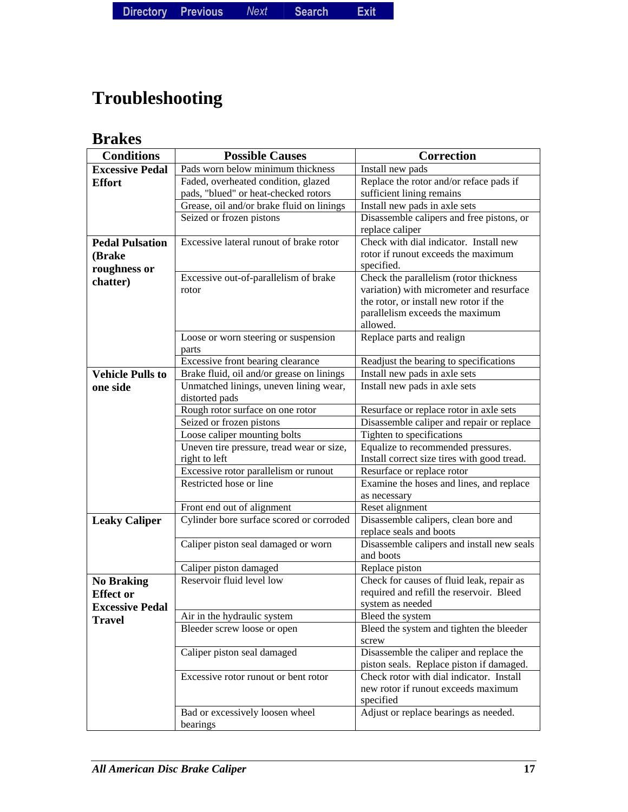**Directory Directory Previous** *Previous Next* **Search** *Search***Exit** *Exit*

## **Troubleshooting**

### **Brakes**

| <b>Conditions</b>       | <b>Possible Causes</b>                                     | Correction                                                                        |
|-------------------------|------------------------------------------------------------|-----------------------------------------------------------------------------------|
| <b>Excessive Pedal</b>  | Pads worn below minimum thickness                          | Install new pads                                                                  |
| <b>Effort</b>           | Faded, overheated condition, glazed                        | Replace the rotor and/or reface pads if                                           |
|                         | pads, "blued" or heat-checked rotors                       | sufficient lining remains                                                         |
|                         | Grease, oil and/or brake fluid on linings                  | Install new pads in axle sets                                                     |
|                         | Seized or frozen pistons                                   | Disassemble calipers and free pistons, or                                         |
|                         |                                                            | replace caliper                                                                   |
| <b>Pedal Pulsation</b>  | Excessive lateral runout of brake rotor                    | Check with dial indicator. Install new                                            |
| (Brake                  |                                                            | rotor if runout exceeds the maximum                                               |
| roughness or            |                                                            | specified.                                                                        |
| chatter)                | Excessive out-of-parallelism of brake                      | Check the parallelism (rotor thickness                                            |
|                         | rotor                                                      | variation) with micrometer and resurface                                          |
|                         |                                                            | the rotor, or install new rotor if the                                            |
|                         |                                                            | parallelism exceeds the maximum                                                   |
|                         |                                                            | allowed.                                                                          |
|                         | Loose or worn steering or suspension                       | Replace parts and realign                                                         |
|                         | parts                                                      |                                                                                   |
|                         | Excessive front bearing clearance                          | Readjust the bearing to specifications                                            |
| <b>Vehicle Pulls to</b> | Brake fluid, oil and/or grease on linings                  | Install new pads in axle sets                                                     |
| one side                | Unmatched linings, uneven lining wear,                     | Install new pads in axle sets                                                     |
|                         | distorted pads                                             |                                                                                   |
|                         | Rough rotor surface on one rotor                           | Resurface or replace rotor in axle sets                                           |
|                         | Seized or frozen pistons                                   | Disassemble caliper and repair or replace                                         |
|                         | Loose caliper mounting bolts                               | Tighten to specifications                                                         |
|                         | Uneven tire pressure, tread wear or size,<br>right to left | Equalize to recommended pressures.<br>Install correct size tires with good tread. |
|                         | Excessive rotor parallelism or runout                      | Resurface or replace rotor                                                        |
|                         | Restricted hose or line                                    | Examine the hoses and lines, and replace                                          |
|                         |                                                            | as necessary                                                                      |
|                         | Front end out of alignment                                 | Reset alignment                                                                   |
| <b>Leaky Caliper</b>    | Cylinder bore surface scored or corroded                   | Disassemble calipers, clean bore and                                              |
|                         |                                                            | replace seals and boots                                                           |
|                         | Caliper piston seal damaged or worn                        | Disassemble calipers and install new seals                                        |
|                         |                                                            | and boots                                                                         |
|                         | Caliper piston damaged                                     | Replace piston                                                                    |
| <b>No Braking</b>       | Reservoir fluid level low                                  | Check for causes of fluid leak, repair as                                         |
| <b>Effect or</b>        |                                                            | required and refill the reservoir. Bleed                                          |
| <b>Excessive Pedal</b>  |                                                            | system as needed                                                                  |
| <b>Travel</b>           | Air in the hydraulic system                                | Bleed the system                                                                  |
|                         | Bleeder screw loose or open                                | Bleed the system and tighten the bleeder                                          |
|                         |                                                            | screw                                                                             |
|                         | Caliper piston seal damaged                                | Disassemble the caliper and replace the                                           |
|                         |                                                            | piston seals. Replace piston if damaged.                                          |
|                         | Excessive rotor runout or bent rotor                       | Check rotor with dial indicator. Install                                          |
|                         |                                                            | new rotor if runout exceeds maximum                                               |
|                         |                                                            | specified                                                                         |
|                         | Bad or excessively loosen wheel                            | Adjust or replace bearings as needed.                                             |
|                         | bearings                                                   |                                                                                   |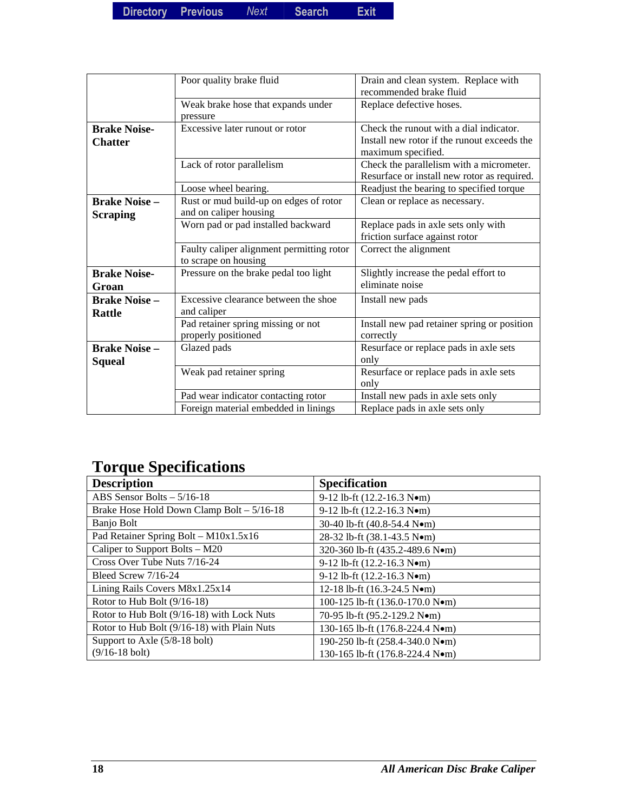|                                         | Poor quality brake fluid                                          | Drain and clean system. Replace with<br>recommended brake fluid                                              |
|-----------------------------------------|-------------------------------------------------------------------|--------------------------------------------------------------------------------------------------------------|
|                                         | Weak brake hose that expands under<br>pressure                    | Replace defective hoses.                                                                                     |
| <b>Brake Noise-</b><br><b>Chatter</b>   | Excessive later runout or rotor                                   | Check the runout with a dial indicator.<br>Install new rotor if the runout exceeds the<br>maximum specified. |
|                                         | Lack of rotor parallelism                                         | Check the parallelism with a micrometer.<br>Resurface or install new rotor as required.                      |
|                                         | Loose wheel bearing.                                              | Readjust the bearing to specified torque                                                                     |
| <b>Brake Noise -</b><br><b>Scraping</b> | Rust or mud build-up on edges of rotor<br>and on caliper housing  | Clean or replace as necessary.                                                                               |
|                                         | Worn pad or pad installed backward                                | Replace pads in axle sets only with<br>friction surface against rotor                                        |
|                                         | Faulty caliper alignment permitting rotor<br>to scrape on housing | Correct the alignment                                                                                        |
| <b>Brake Noise-</b><br>Groan            | Pressure on the brake pedal too light                             | Slightly increase the pedal effort to<br>eliminate noise                                                     |
| <b>Brake Noise -</b><br><b>Rattle</b>   | Excessive clearance between the shoe<br>and caliper               | Install new pads                                                                                             |
|                                         | Pad retainer spring missing or not<br>properly positioned         | Install new pad retainer spring or position<br>correctly                                                     |
| <b>Brake Noise -</b>                    | Glazed pads                                                       | Resurface or replace pads in axle sets                                                                       |
| <b>Squeal</b>                           |                                                                   | only                                                                                                         |
|                                         | Weak pad retainer spring                                          | Resurface or replace pads in axle sets<br>only                                                               |
|                                         | Pad wear indicator contacting rotor                               | Install new pads in axle sets only                                                                           |
|                                         | Foreign material embedded in linings                              | Replace pads in axle sets only                                                                               |

## **Torque Specifications**

| <b>Description</b>                          | <b>Specification</b>                                 |
|---------------------------------------------|------------------------------------------------------|
| ABS Sensor Bolts $-5/16-18$                 | 9-12 lb-ft $(12.2 - 16.3 \text{ N} \cdot \text{m})$  |
| Brake Hose Hold Down Clamp Bolt - 5/16-18   | 9-12 lb-ft $(12.2 - 16.3 \text{ N} \cdot \text{m})$  |
| Banjo Bolt                                  | 30-40 lb-ft (40.8-54.4 Nom)                          |
| Pad Retainer Spring Bolt - M10x1.5x16       | 28-32 lb-ft (38.1-43.5 Nom)                          |
| Caliper to Support Bolts – M20              | 320-360 lb-ft (435.2-489.6 Nom)                      |
| Cross Over Tube Nuts 7/16-24                | 9-12 lb-ft $(12.2 - 16.3 \text{ N} \cdot \text{m})$  |
| Bleed Screw 7/16-24                         | 9-12 lb-ft $(12.2 - 16.3 \text{ N} \cdot \text{m})$  |
| Lining Rails Covers M8x1.25x14              | 12-18 lb-ft $(16.3-24.5 \text{ N} \bullet \text{m})$ |
| Rotor to Hub Bolt $(9/16-18)$               | 100-125 lb-ft (136.0-170.0 Nom)                      |
| Rotor to Hub Bolt (9/16-18) with Lock Nuts  | 70-95 lb-ft (95.2-129.2 Nom)                         |
| Rotor to Hub Bolt (9/16-18) with Plain Nuts | 130-165 lb-ft (176.8-224.4 N•m)                      |
| Support to Axle $(5/8-18$ bolt)             | 190-250 lb-ft (258.4-340.0 N•m)                      |
| $(9/16-18$ bolt)                            | 130-165 lb-ft (176.8-224.4 Nom)                      |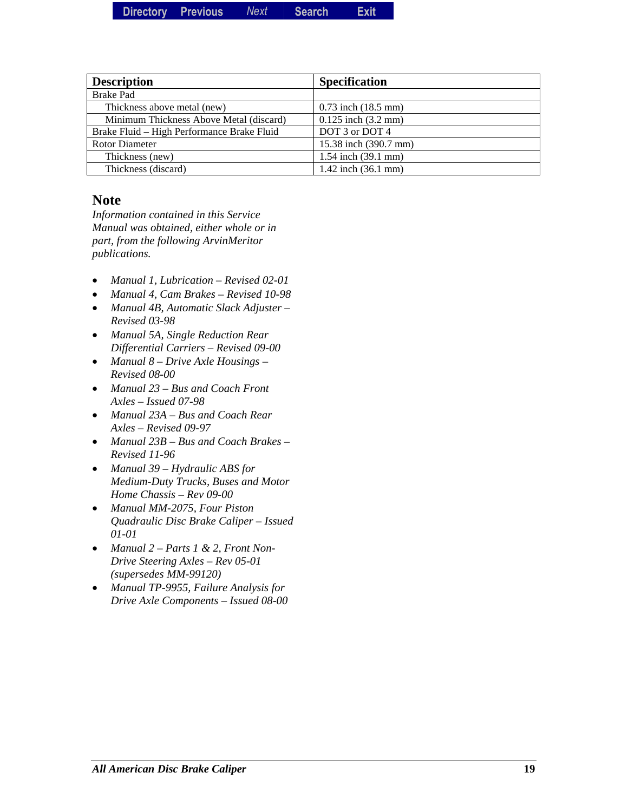| Directory | Previous | Next | <b>Search</b> | <b>Exit</b> |
|-----------|----------|------|---------------|-------------|
|           |          |      |               |             |

| <b>Description</b>                         | <b>Specification</b>          |
|--------------------------------------------|-------------------------------|
| <b>Brake Pad</b>                           |                               |
| Thickness above metal (new)                | $0.73$ inch $(18.5$ mm)       |
| Minimum Thickness Above Metal (discard)    | $0.125$ inch $(3.2$ mm)       |
| Brake Fluid - High Performance Brake Fluid | DOT 3 or DOT 4                |
| <b>Rotor Diameter</b>                      | 15.38 inch (390.7 mm)         |
| Thickness (new)                            | 1.54 inch (39.1 mm)           |
| Thickness (discard)                        | 1.42 inch $(36.1 \text{ mm})$ |

#### **Note**

*Information contained in this Service Manual was obtained, either whole or in part, from the following ArvinMeritor publications.* 

- *Manual 1, Lubrication Revised 02-01*
- *Manual 4, Cam Brakes Revised 10-98*
- *Manual 4B, Automatic Slack Adjuster Revised 03-98*
- *Manual 5A, Single Reduction Rear Differential Carriers – Revised 09-00*
- *Manual 8 Drive Axle Housings Revised 08-00*
- *Manual 23 Bus and Coach Front Axles – Issued 07-98*
- *Manual 23A Bus and Coach Rear Axles – Revised 09-97*
- *Manual 23B Bus and Coach Brakes Revised 11-96*
- *Manual 39 Hydraulic ABS for Medium-Duty Trucks, Buses and Motor Home Chassis – Rev 09-00*
- *Manual MM-2075, Four Piston Quadraulic Disc Brake Caliper – Issued 01-01*
- *Manual 2 Parts 1 & 2, Front Non-Drive Steering Axles – Rev 05-01 (supersedes MM-99120)*
- *Manual TP-9955, Failure Analysis for Drive Axle Components – Issued 08-00*